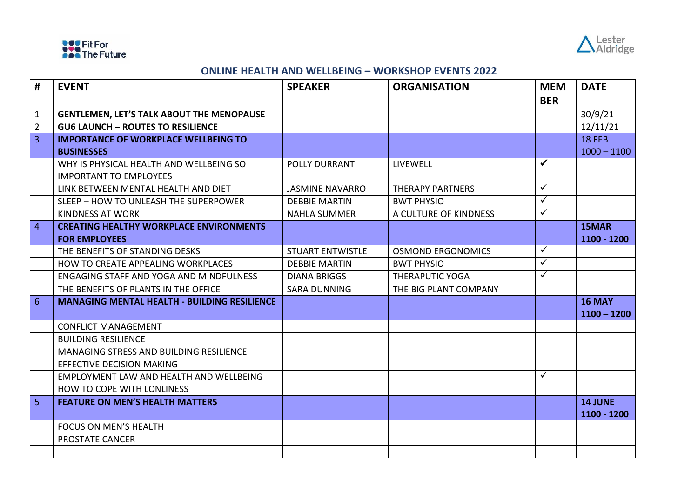



## **ONLINE HEALTH AND WELLBEING – WORKSHOP EVENTS 2022**

| #              | <b>EVENT</b>                                        | <b>SPEAKER</b>          | <b>ORGANISATION</b>      | <b>MEM</b>   | <b>DATE</b>                   |
|----------------|-----------------------------------------------------|-------------------------|--------------------------|--------------|-------------------------------|
|                |                                                     |                         |                          | <b>BER</b>   |                               |
| 1              | <b>GENTLEMEN, LET'S TALK ABOUT THE MENOPAUSE</b>    |                         |                          |              | 30/9/21                       |
| $\overline{2}$ | <b>GU6 LAUNCH - ROUTES TO RESILIENCE</b>            |                         |                          |              | 12/11/21                      |
| $\overline{3}$ | <b>IMPORTANCE OF WORKPLACE WELLBEING TO</b>         |                         |                          |              | <b>18 FEB</b>                 |
|                | <b>BUSINESSES</b>                                   |                         |                          |              | $1000 - 1100$                 |
|                | WHY IS PHYSICAL HEALTH AND WELLBEING SO             | <b>POLLY DURRANT</b>    | LIVEWELL                 | $\checkmark$ |                               |
|                | <b>IMPORTANT TO EMPLOYEES</b>                       |                         |                          |              |                               |
|                | LINK BETWEEN MENTAL HEALTH AND DIET                 | <b>JASMINE NAVARRO</b>  | <b>THERAPY PARTNERS</b>  | $\checkmark$ |                               |
|                | SLEEP - HOW TO UNLEASH THE SUPERPOWER               | <b>DEBBIE MARTIN</b>    | <b>BWT PHYSIO</b>        | $\checkmark$ |                               |
|                | <b>KINDNESS AT WORK</b>                             | <b>NAHLA SUMMER</b>     | A CULTURE OF KINDNESS    | $\checkmark$ |                               |
| $\overline{4}$ | <b>CREATING HEALTHY WORKPLACE ENVIRONMENTS</b>      |                         |                          |              | 15MAR                         |
|                | <b>FOR EMPLOYEES</b>                                |                         |                          |              | 1100 - 1200                   |
|                | THE BENEFITS OF STANDING DESKS                      | <b>STUART ENTWISTLE</b> | <b>OSMOND ERGONOMICS</b> | $\checkmark$ |                               |
|                | HOW TO CREATE APPEALING WORKPLACES                  | <b>DEBBIE MARTIN</b>    | <b>BWT PHYSIO</b>        | $\checkmark$ |                               |
|                | <b>ENGAGING STAFF AND YOGA AND MINDFULNESS</b>      | <b>DIANA BRIGGS</b>     | <b>THERAPUTIC YOGA</b>   | $\checkmark$ |                               |
|                | THE BENEFITS OF PLANTS IN THE OFFICE                | <b>SARA DUNNING</b>     | THE BIG PLANT COMPANY    |              |                               |
| 6              | <b>MANAGING MENTAL HEALTH - BUILDING RESILIENCE</b> |                         |                          |              | <b>16 MAY</b>                 |
|                |                                                     |                         |                          |              | $1100 - 1200$                 |
|                | <b>CONFLICT MANAGEMENT</b>                          |                         |                          |              |                               |
|                | <b>BUILDING RESILIENCE</b>                          |                         |                          |              |                               |
|                | MANAGING STRESS AND BUILDING RESILIENCE             |                         |                          |              |                               |
|                | <b>EFFECTIVE DECISION MAKING</b>                    |                         |                          |              |                               |
|                | EMPLOYMENT LAW AND HEALTH AND WELLBEING             |                         |                          | $\checkmark$ |                               |
|                | <b>HOW TO COPE WITH LONLINESS</b>                   |                         |                          |              |                               |
| 5              | <b>FEATURE ON MEN'S HEALTH MATTERS</b>              |                         |                          |              | <b>14 JUNE</b><br>1100 - 1200 |
|                | FOCUS ON MEN'S HEALTH                               |                         |                          |              |                               |
|                | <b>PROSTATE CANCER</b>                              |                         |                          |              |                               |
|                |                                                     |                         |                          |              |                               |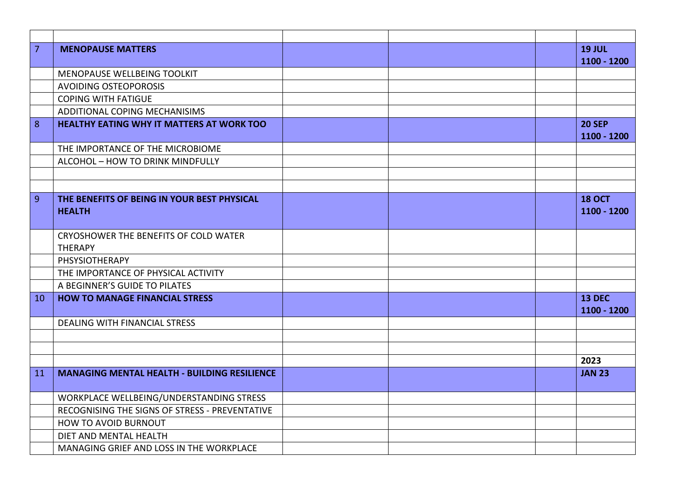| $\overline{7}$ | <b>MENOPAUSE MATTERS</b>                            |  | <b>19 JUL</b> |
|----------------|-----------------------------------------------------|--|---------------|
|                |                                                     |  | 1100 - 1200   |
|                | MENOPAUSE WELLBEING TOOLKIT                         |  |               |
|                | <b>AVOIDING OSTEOPOROSIS</b>                        |  |               |
|                | <b>COPING WITH FATIGUE</b>                          |  |               |
|                | ADDITIONAL COPING MECHANISIMS                       |  |               |
| 8              | HEALTHY EATING WHY IT MATTERS AT WORK TOO           |  | <b>20 SEP</b> |
|                |                                                     |  | 1100 - 1200   |
|                | THE IMPORTANCE OF THE MICROBIOME                    |  |               |
|                | ALCOHOL - HOW TO DRINK MINDFULLY                    |  |               |
|                |                                                     |  |               |
|                |                                                     |  |               |
| 9              | THE BENEFITS OF BEING IN YOUR BEST PHYSICAL         |  | <b>18 OCT</b> |
|                | <b>HEALTH</b>                                       |  | 1100 - 1200   |
|                |                                                     |  |               |
|                | CRYOSHOWER THE BENEFITS OF COLD WATER               |  |               |
|                | <b>THERAPY</b>                                      |  |               |
|                | PHSYSIOTHERAPY                                      |  |               |
|                | THE IMPORTANCE OF PHYSICAL ACTIVITY                 |  |               |
|                | A BEGINNER'S GUIDE TO PILATES                       |  |               |
| 10             | <b>HOW TO MANAGE FINANCIAL STRESS</b>               |  | <b>13 DEC</b> |
|                |                                                     |  | 1100 - 1200   |
|                | <b>DEALING WITH FINANCIAL STRESS</b>                |  |               |
|                |                                                     |  |               |
|                |                                                     |  |               |
|                |                                                     |  | 2023          |
| 11             | <b>MANAGING MENTAL HEALTH - BUILDING RESILIENCE</b> |  | <b>JAN 23</b> |
|                | WORKPLACE WELLBEING/UNDERSTANDING STRESS            |  |               |
|                | RECOGNISING THE SIGNS OF STRESS - PREVENTATIVE      |  |               |
|                | HOW TO AVOID BURNOUT                                |  |               |
|                | DIET AND MENTAL HEALTH                              |  |               |
|                |                                                     |  |               |
|                | MANAGING GRIEF AND LOSS IN THE WORKPLACE            |  |               |